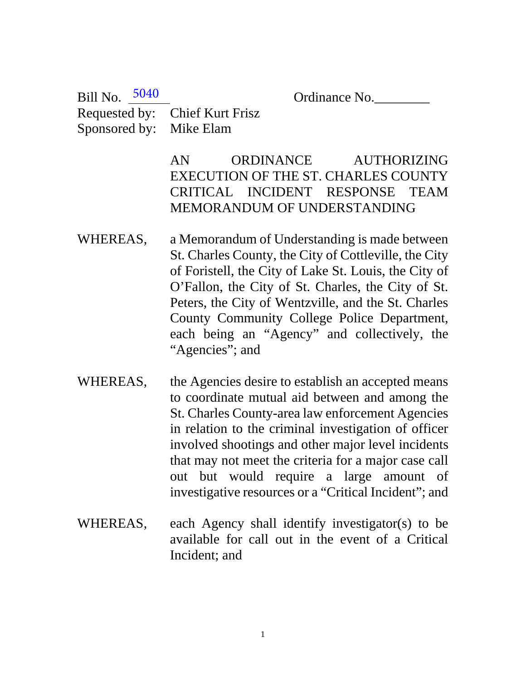Ordinance No.

Requested by: Chief Kurt Frisz Sponsored by: Mike Elam Bill No. 5040

> AN ORDINANCE AUTHORIZING EXECUTION OF THE ST. CHARLES COUNTY CRITICAL INCIDENT RESPONSE TEAM MEMORANDUM OF UNDERSTANDING

- WHEREAS, a Memorandum of Understanding is made between St. Charles County, the City of Cottleville, the City of Foristell, the City of Lake St. Louis, the City of O'Fallon, the City of St. Charles, the City of St. Peters, the City of Wentzville, and the St. Charles County Community College Police Department, each being an "Agency" and collectively, the "Agencies"; and
- WHEREAS, the Agencies desire to establish an accepted means to coordinate mutual aid between and among the St. Charles County-area law enforcement Agencies in relation to the criminal investigation of officer involved shootings and other major level incidents that may not meet the criteria for a major case call out but would require a large amount of investigative resources or a "Critical Incident"; and
- WHEREAS, each Agency shall identify investigator(s) to be available for call out in the event of a Critical Incident; and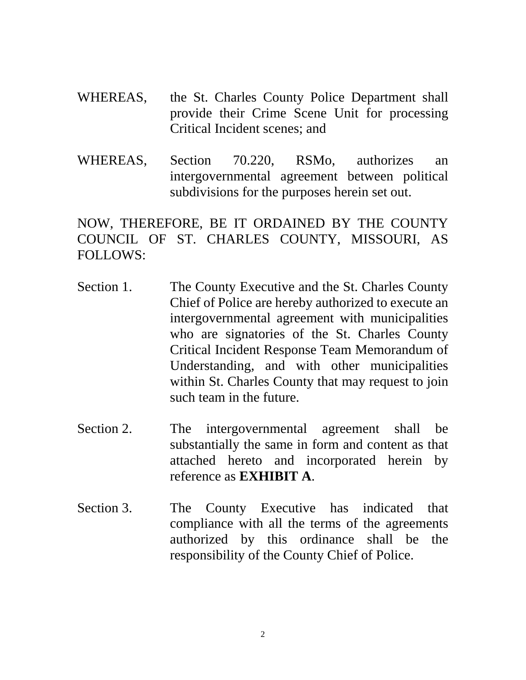- WHEREAS, the St. Charles County Police Department shall provide their Crime Scene Unit for processing Critical Incident scenes; and
- WHEREAS, Section 70.220, RSMo, authorizes an intergovernmental agreement between political subdivisions for the purposes herein set out.

NOW, THEREFORE, BE IT ORDAINED BY THE COUNTY COUNCIL OF ST. CHARLES COUNTY, MISSOURI, AS FOLLOWS:

- Section 1. The County Executive and the St. Charles County Chief of Police are hereby authorized to execute an intergovernmental agreement with municipalities who are signatories of the St. Charles County Critical Incident Response Team Memorandum of Understanding, and with other municipalities within St. Charles County that may request to join such team in the future.
- Section 2. The intergovernmental agreement shall be substantially the same in form and content as that attached hereto and incorporated herein by reference as **EXHIBIT A**.
- Section 3. The County Executive has indicated that compliance with all the terms of the agreements authorized by this ordinance shall be the responsibility of the County Chief of Police.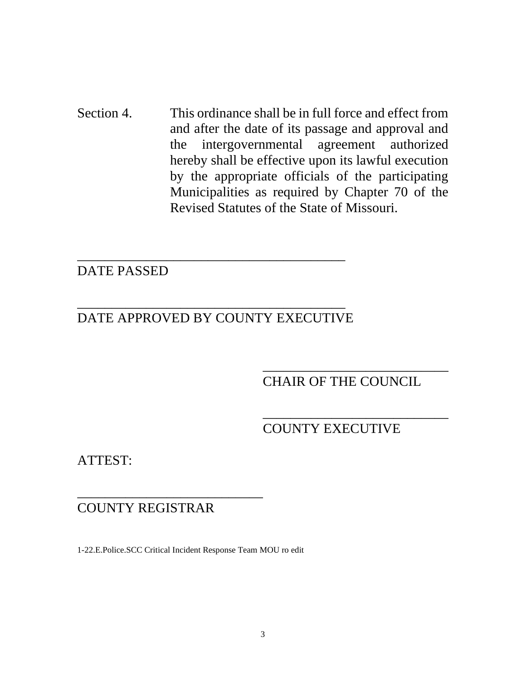Section 4. This ordinance shall be in full force and effect from and after the date of its passage and approval and the intergovernmental agreement authorized hereby shall be effective upon its lawful execution by the appropriate officials of the participating Municipalities as required by Chapter 70 of the Revised Statutes of the State of Missouri.

# DATE PASSED

# \_\_\_\_\_\_\_\_\_\_\_\_\_\_\_\_\_\_\_\_\_\_\_\_\_\_\_\_\_\_\_\_\_\_\_\_\_\_\_ DATE APPROVED BY COUNTY EXECUTIVE

\_\_\_\_\_\_\_\_\_\_\_\_\_\_\_\_\_\_\_\_\_\_\_\_\_\_\_\_\_\_\_\_\_\_\_\_\_\_\_

# \_\_\_\_\_\_\_\_\_\_\_\_\_\_\_\_\_\_\_\_\_\_\_\_\_\_\_ CHAIR OF THE COUNCIL

\_\_\_\_\_\_\_\_\_\_\_\_\_\_\_\_\_\_\_\_\_\_\_\_\_\_\_

# COUNTY EXECUTIVE

ATTEST:

# COUNTY REGISTRAR

\_\_\_\_\_\_\_\_\_\_\_\_\_\_\_\_\_\_\_\_\_\_\_\_\_\_\_

1-22.E.Police.SCC Critical Incident Response Team MOU ro edit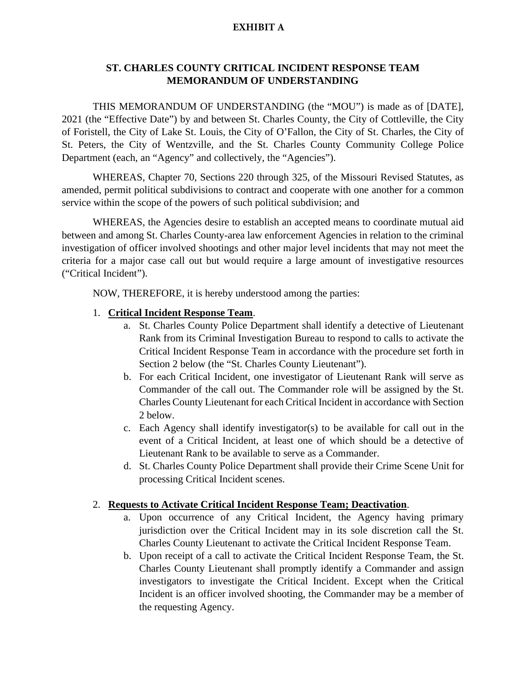#### **EXHIBIT A**

#### **ST. CHARLES COUNTY CRITICAL INCIDENT RESPONSE TEAM MEMORANDUM OF UNDERSTANDING**

THIS MEMORANDUM OF UNDERSTANDING (the "MOU") is made as of [DATE], 2021 (the "Effective Date") by and between St. Charles County, the City of Cottleville, the City of Foristell, the City of Lake St. Louis, the City of O'Fallon, the City of St. Charles, the City of St. Peters, the City of Wentzville, and the St. Charles County Community College Police Department (each, an "Agency" and collectively, the "Agencies").

WHEREAS, Chapter 70, Sections 220 through 325, of the Missouri Revised Statutes, as amended, permit political subdivisions to contract and cooperate with one another for a common service within the scope of the powers of such political subdivision; and

WHEREAS, the Agencies desire to establish an accepted means to coordinate mutual aid between and among St. Charles County-area law enforcement Agencies in relation to the criminal investigation of officer involved shootings and other major level incidents that may not meet the criteria for a major case call out but would require a large amount of investigative resources ("Critical Incident").

NOW, THEREFORE, it is hereby understood among the parties:

#### 1. **Critical Incident Response Team**.

- a. St. Charles County Police Department shall identify a detective of Lieutenant Rank from its Criminal Investigation Bureau to respond to calls to activate the Critical Incident Response Team in accordance with the procedure set forth in Section 2 below (the "St. Charles County Lieutenant").
- b. For each Critical Incident, one investigator of Lieutenant Rank will serve as Commander of the call out. The Commander role will be assigned by the St. Charles County Lieutenant for each Critical Incident in accordance with Section 2 below.
- c. Each Agency shall identify investigator(s) to be available for call out in the event of a Critical Incident, at least one of which should be a detective of Lieutenant Rank to be available to serve as a Commander.
- d. St. Charles County Police Department shall provide their Crime Scene Unit for processing Critical Incident scenes.

#### 2. **Requests to Activate Critical Incident Response Team; Deactivation**.

- a. Upon occurrence of any Critical Incident, the Agency having primary jurisdiction over the Critical Incident may in its sole discretion call the St. Charles County Lieutenant to activate the Critical Incident Response Team.
- b. Upon receipt of a call to activate the Critical Incident Response Team, the St. Charles County Lieutenant shall promptly identify a Commander and assign investigators to investigate the Critical Incident. Except when the Critical Incident is an officer involved shooting, the Commander may be a member of the requesting Agency.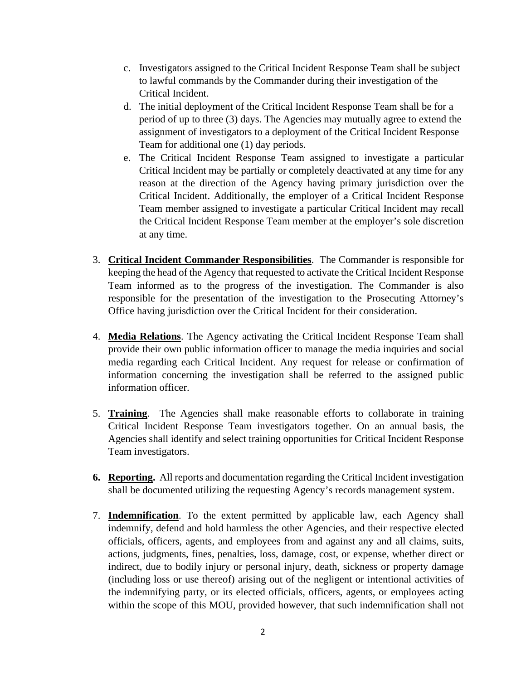- c. Investigators assigned to the Critical Incident Response Team shall be subject to lawful commands by the Commander during their investigation of the Critical Incident.
- d. The initial deployment of the Critical Incident Response Team shall be for a period of up to three (3) days. The Agencies may mutually agree to extend the assignment of investigators to a deployment of the Critical Incident Response Team for additional one (1) day periods.
- e. The Critical Incident Response Team assigned to investigate a particular Critical Incident may be partially or completely deactivated at any time for any reason at the direction of the Agency having primary jurisdiction over the Critical Incident. Additionally, the employer of a Critical Incident Response Team member assigned to investigate a particular Critical Incident may recall the Critical Incident Response Team member at the employer's sole discretion at any time.
- 3. **Critical Incident Commander Responsibilities**. The Commander is responsible for keeping the head of the Agency that requested to activate the Critical Incident Response Team informed as to the progress of the investigation. The Commander is also responsible for the presentation of the investigation to the Prosecuting Attorney's Office having jurisdiction over the Critical Incident for their consideration.
- 4. **Media Relations**. The Agency activating the Critical Incident Response Team shall provide their own public information officer to manage the media inquiries and social media regarding each Critical Incident. Any request for release or confirmation of information concerning the investigation shall be referred to the assigned public information officer.
- 5. **Training**. The Agencies shall make reasonable efforts to collaborate in training Critical Incident Response Team investigators together. On an annual basis, the Agencies shall identify and select training opportunities for Critical Incident Response Team investigators.
- **6. Reporting.** All reports and documentation regarding the Critical Incident investigation shall be documented utilizing the requesting Agency's records management system.
- 7. **Indemnification**. To the extent permitted by applicable law, each Agency shall indemnify, defend and hold harmless the other Agencies, and their respective elected officials, officers, agents, and employees from and against any and all claims, suits, actions, judgments, fines, penalties, loss, damage, cost, or expense, whether direct or indirect, due to bodily injury or personal injury, death, sickness or property damage (including loss or use thereof) arising out of the negligent or intentional activities of the indemnifying party, or its elected officials, officers, agents, or employees acting within the scope of this MOU, provided however, that such indemnification shall not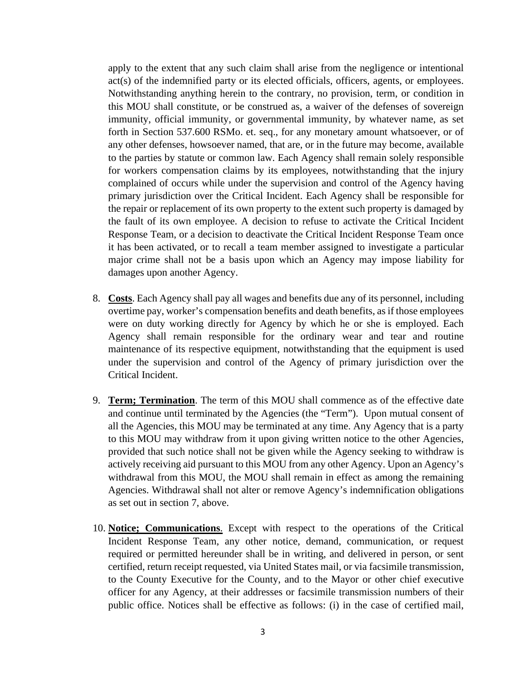apply to the extent that any such claim shall arise from the negligence or intentional act(s) of the indemnified party or its elected officials, officers, agents, or employees. Notwithstanding anything herein to the contrary, no provision, term, or condition in this MOU shall constitute, or be construed as, a waiver of the defenses of sovereign immunity, official immunity, or governmental immunity, by whatever name, as set forth in Section 537.600 RSMo. et. seq., for any monetary amount whatsoever, or of any other defenses, howsoever named, that are, or in the future may become, available to the parties by statute or common law. Each Agency shall remain solely responsible for workers compensation claims by its employees, notwithstanding that the injury complained of occurs while under the supervision and control of the Agency having primary jurisdiction over the Critical Incident. Each Agency shall be responsible for the repair or replacement of its own property to the extent such property is damaged by the fault of its own employee. A decision to refuse to activate the Critical Incident Response Team, or a decision to deactivate the Critical Incident Response Team once it has been activated, or to recall a team member assigned to investigate a particular major crime shall not be a basis upon which an Agency may impose liability for damages upon another Agency.

- 8. **Costs**. Each Agency shall pay all wages and benefits due any of its personnel, including overtime pay, worker's compensation benefits and death benefits, as if those employees were on duty working directly for Agency by which he or she is employed. Each Agency shall remain responsible for the ordinary wear and tear and routine maintenance of its respective equipment, notwithstanding that the equipment is used under the supervision and control of the Agency of primary jurisdiction over the Critical Incident.
- 9. **Term; Termination**. The term of this MOU shall commence as of the effective date and continue until terminated by the Agencies (the "Term"). Upon mutual consent of all the Agencies, this MOU may be terminated at any time. Any Agency that is a party to this MOU may withdraw from it upon giving written notice to the other Agencies, provided that such notice shall not be given while the Agency seeking to withdraw is actively receiving aid pursuant to this MOU from any other Agency. Upon an Agency's withdrawal from this MOU, the MOU shall remain in effect as among the remaining Agencies. Withdrawal shall not alter or remove Agency's indemnification obligations as set out in section 7, above.
- 10. **Notice; Communications**. Except with respect to the operations of the Critical Incident Response Team, any other notice, demand, communication, or request required or permitted hereunder shall be in writing, and delivered in person, or sent certified, return receipt requested, via United States mail, or via facsimile transmission, to the County Executive for the County, and to the Mayor or other chief executive officer for any Agency, at their addresses or facsimile transmission numbers of their public office. Notices shall be effective as follows: (i) in the case of certified mail,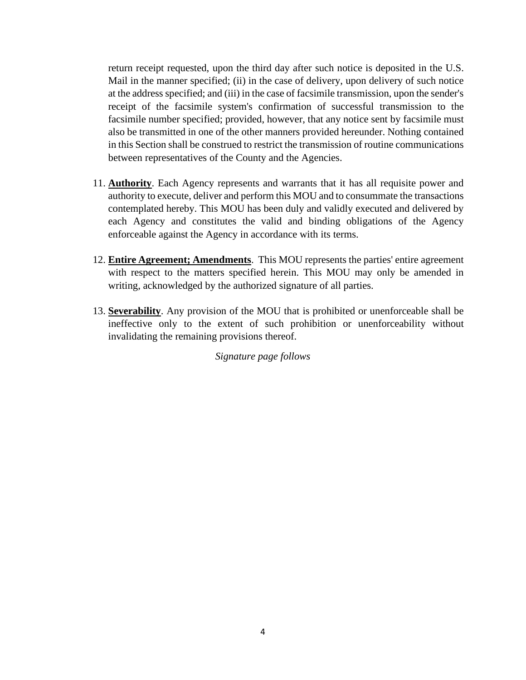return receipt requested, upon the third day after such notice is deposited in the U.S. Mail in the manner specified; (ii) in the case of delivery, upon delivery of such notice at the address specified; and (iii) in the case of facsimile transmission, upon the sender's receipt of the facsimile system's confirmation of successful transmission to the facsimile number specified; provided, however, that any notice sent by facsimile must also be transmitted in one of the other manners provided hereunder. Nothing contained in this Section shall be construed to restrict the transmission of routine communications between representatives of the County and the Agencies.

- 11. **Authority**. Each Agency represents and warrants that it has all requisite power and authority to execute, deliver and perform this MOU and to consummate the transactions contemplated hereby. This MOU has been duly and validly executed and delivered by each Agency and constitutes the valid and binding obligations of the Agency enforceable against the Agency in accordance with its terms.
- 12. **Entire Agreement; Amendments**. This MOU represents the parties' entire agreement with respect to the matters specified herein. This MOU may only be amended in writing, acknowledged by the authorized signature of all parties.
- 13. **Severability**. Any provision of the MOU that is prohibited or unenforceable shall be ineffective only to the extent of such prohibition or unenforceability without invalidating the remaining provisions thereof.

*Signature page follows*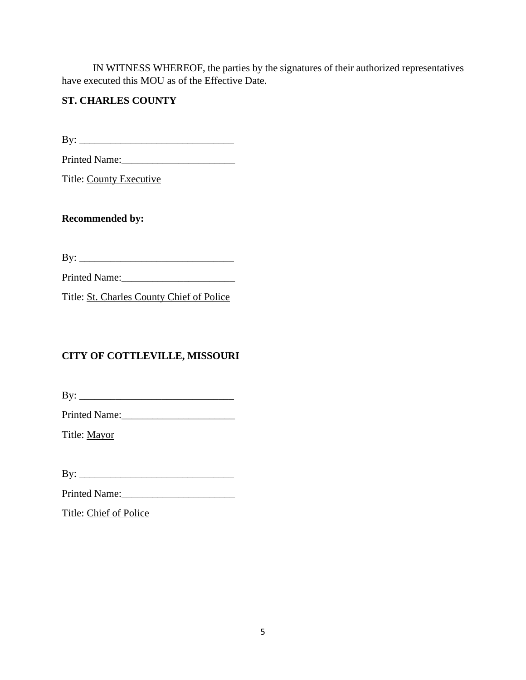IN WITNESS WHEREOF, the parties by the signatures of their authorized representatives have executed this MOU as of the Effective Date.

### **ST. CHARLES COUNTY**

By: \_\_\_\_\_\_\_\_\_\_\_\_\_\_\_\_\_\_\_\_\_\_\_\_\_\_\_\_\_\_

Printed Name:\_\_\_\_\_\_\_\_\_\_\_\_\_\_\_\_\_\_\_\_\_\_

Title: County Executive

**Recommended by:**

By: \_\_\_\_\_\_\_\_\_\_\_\_\_\_\_\_\_\_\_\_\_\_\_\_\_\_\_\_\_\_

Printed Name:\_\_\_\_\_\_\_\_\_\_\_\_\_\_\_\_\_\_\_\_\_\_

Title: St. Charles County Chief of Police

## **CITY OF COTTLEVILLE, MISSOURI**

By: \_\_\_\_\_\_\_\_\_\_\_\_\_\_\_\_\_\_\_\_\_\_\_\_\_\_\_\_\_\_

Printed Name:\_\_\_\_\_\_\_\_\_\_\_\_\_\_\_\_\_\_\_\_\_\_

Title: Mayor

By: \_\_\_\_\_\_\_\_\_\_\_\_\_\_\_\_\_\_\_\_\_\_\_\_\_\_\_\_\_\_

Printed Name:\_\_\_\_\_\_\_\_\_\_\_\_\_\_\_\_\_\_\_\_\_\_

Title: Chief of Police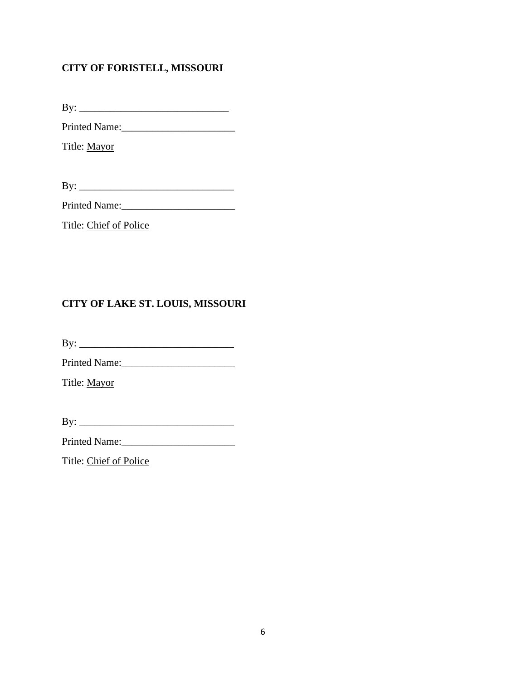### **CITY OF FORISTELL, MISSOURI**

By: \_\_\_\_\_\_\_\_\_\_\_\_\_\_\_\_\_\_\_\_\_\_\_\_\_\_\_\_\_

Printed Name:\_\_\_\_\_\_\_\_\_\_\_\_\_\_\_\_\_\_\_\_\_\_

Title: Mayor

By: \_\_\_\_\_\_\_\_\_\_\_\_\_\_\_\_\_\_\_\_\_\_\_\_\_\_\_\_\_\_

Printed Name:

Title: Chief of Police

## **CITY OF LAKE ST. LOUIS, MISSOURI**

By: \_\_\_\_\_\_\_\_\_\_\_\_\_\_\_\_\_\_\_\_\_\_\_\_\_\_\_\_\_\_

Printed Name:\_\_\_\_\_\_\_\_\_\_\_\_\_\_\_\_\_\_\_\_\_\_

Title: Mayor

By: \_\_\_\_\_\_\_\_\_\_\_\_\_\_\_\_\_\_\_\_\_\_\_\_\_\_\_\_\_\_

Printed Name:\_\_\_\_\_\_\_\_\_\_\_\_\_\_\_\_\_\_\_\_\_\_

Title: Chief of Police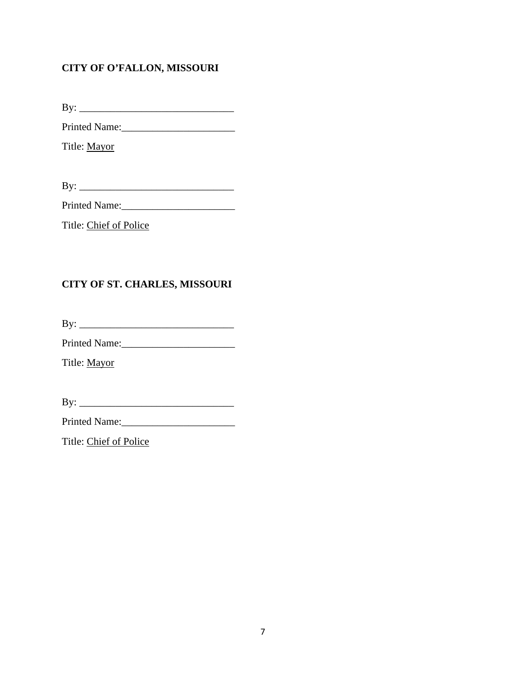## **CITY OF O'FALLON, MISSOURI**

By: \_\_\_\_\_\_\_\_\_\_\_\_\_\_\_\_\_\_\_\_\_\_\_\_\_\_\_\_\_\_

Printed Name:\_\_\_\_\_\_\_\_\_\_\_\_\_\_\_\_\_\_\_\_\_\_

Title: Mayor

By: \_\_\_\_\_\_\_\_\_\_\_\_\_\_\_\_\_\_\_\_\_\_\_\_\_\_\_\_\_\_

Printed Name:

Title: Chief of Police

### **CITY OF ST. CHARLES, MISSOURI**

By: \_\_\_\_\_\_\_\_\_\_\_\_\_\_\_\_\_\_\_\_\_\_\_\_\_\_\_\_\_\_

Printed Name:\_\_\_\_\_\_\_\_\_\_\_\_\_\_\_\_\_\_\_\_\_\_

Title: Mayor

By: \_\_\_\_\_\_\_\_\_\_\_\_\_\_\_\_\_\_\_\_\_\_\_\_\_\_\_\_\_\_

Printed Name:\_\_\_\_\_\_\_\_\_\_\_\_\_\_\_\_\_\_\_\_\_\_

Title: Chief of Police